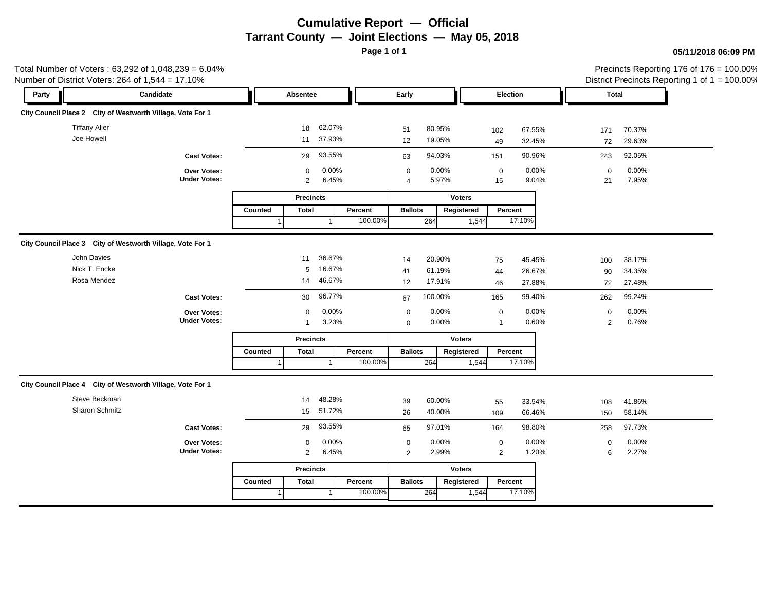# **Cumulative Report — Official Tarrant County — Joint Elections — May 05, 2018**

**Page 1 of 1**

### **05/11/2018 06:09 PM**

|                      | Total Number of Voters : 63,292 of 1,048,239 = 6.04%<br>Number of District Voters: 264 of 1,544 = 17.10% |         |                  |         |                |               |               |                |        |                |        | Precincts Reporting 176 of 176 = 100.00%<br>District Precincts Reporting 1 of 1 = 100.00% |
|----------------------|----------------------------------------------------------------------------------------------------------|---------|------------------|---------|----------------|---------------|---------------|----------------|--------|----------------|--------|-------------------------------------------------------------------------------------------|
| Party                | Candidate                                                                                                |         | Absentee         |         | Early          |               |               | Election       |        | Total          |        |                                                                                           |
|                      | City Council Place 2 City of Westworth Village, Vote For 1                                               |         |                  |         |                |               |               |                |        |                |        |                                                                                           |
| <b>Tiffany Aller</b> |                                                                                                          |         | 62.07%<br>18     |         | 51             | 80.95%        |               | 102            | 67.55% | 171            | 70.37% |                                                                                           |
| Joe Howell           |                                                                                                          |         | 11 37.93%        |         | 12             | 19.05%        |               | 49             | 32.45% | 72             | 29.63% |                                                                                           |
|                      | <b>Cast Votes:</b>                                                                                       |         | 29 93.55%        |         | 63             | 94.03%        |               | 151            | 90.96% | 243            | 92.05% |                                                                                           |
|                      | Over Votes:                                                                                              |         | $\mathbf 0$      | 0.00%   | $\Omega$       | 0.00%         |               | $\overline{0}$ | 0.00%  | $\Omega$       | 0.00%  |                                                                                           |
|                      | <b>Under Votes:</b>                                                                                      |         | $\overline{2}$   | 6.45%   | $\overline{4}$ | 5.97%         |               | 15             | 9.04%  | 21             | 7.95%  |                                                                                           |
|                      |                                                                                                          |         | <b>Precincts</b> |         |                | <b>Voters</b> |               |                |        |                |        |                                                                                           |
|                      |                                                                                                          | Counted | <b>Total</b>     | Percent | <b>Ballots</b> |               | Registered    | Percent        |        |                |        |                                                                                           |
|                      |                                                                                                          |         |                  | 100.00% |                | 264           | 1,544         |                | 17.10% |                |        |                                                                                           |
|                      | City Council Place 3 City of Westworth Village, Vote For 1                                               |         |                  |         |                |               |               |                |        |                |        |                                                                                           |
| John Davies          |                                                                                                          |         | 36.67%<br>11     |         | 14             | 20.90%        |               | 75             | 45.45% | 100            | 38.17% |                                                                                           |
| Nick T. Encke        |                                                                                                          |         | 16.67%<br>5      |         | 41             | 61.19%        |               | 44             | 26.67% | 90             | 34.35% |                                                                                           |
| Rosa Mendez          |                                                                                                          |         | 46.67%<br>14     |         | 12             | 17.91%        |               | 46             | 27.88% | 72             | 27.48% |                                                                                           |
|                      | <b>Cast Votes:</b>                                                                                       |         | 30 96.77%        |         | 67             | 100.00%       |               | 165            | 99.40% | 262            | 99.24% |                                                                                           |
|                      | Over Votes:                                                                                              |         | $\mathbf{0}$     | 0.00%   | $\mathbf 0$    | 0.00%         |               | $\overline{0}$ | 0.00%  | $\mathbf 0$    | 0.00%  |                                                                                           |
|                      | <b>Under Votes:</b>                                                                                      |         | $\mathbf{1}$     | 3.23%   | $\mathbf 0$    | $0.00\%$      |               | $\overline{1}$ | 0.60%  | $\overline{2}$ | 0.76%  |                                                                                           |
|                      |                                                                                                          |         | <b>Precincts</b> |         |                | <b>Voters</b> |               |                |        |                |        |                                                                                           |
|                      |                                                                                                          | Counted | <b>Total</b>     | Percent | <b>Ballots</b> |               | Registered    | Percent        |        |                |        |                                                                                           |
|                      |                                                                                                          |         |                  | 100.00% |                | 264           | 1,544         |                | 17.10% |                |        |                                                                                           |
|                      | City Council Place 4 City of Westworth Village, Vote For 1                                               |         |                  |         |                |               |               |                |        |                |        |                                                                                           |
| Steve Beckman        |                                                                                                          |         | 48.28%<br>14     |         | 39             | 60.00%        |               | 55             | 33.54% | 108            | 41.86% |                                                                                           |
| Sharon Schmitz       |                                                                                                          |         | 15 51.72%        |         | 26             | 40.00%        |               | 109            | 66.46% | 150            | 58.14% |                                                                                           |
|                      | <b>Cast Votes:</b>                                                                                       |         | 29 93.55%        |         | 65             | 97.01%        |               | 164            | 98.80% | 258            | 97.73% |                                                                                           |
|                      | Over Votes:                                                                                              |         | $\mathbf{0}$     | 0.00%   | 0              | 0.00%         |               | $\mathbf 0$    | 0.00%  | $\Omega$       | 0.00%  |                                                                                           |
|                      | <b>Under Votes:</b>                                                                                      |         | $\overline{2}$   | 6.45%   | $\overline{2}$ | 2.99%         |               | $\overline{a}$ | 1.20%  | 6              | 2.27%  |                                                                                           |
|                      |                                                                                                          |         | <b>Precincts</b> |         |                |               | <b>Voters</b> |                |        |                |        |                                                                                           |
|                      |                                                                                                          | Counted | Total            | Percent | <b>Ballots</b> |               | Registered    | Percent        |        |                |        |                                                                                           |
|                      |                                                                                                          |         |                  | 100.00% |                | 264           | 1,544         |                | 17.10% |                |        |                                                                                           |